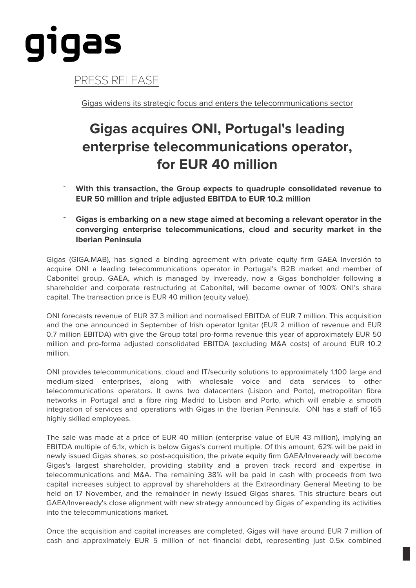

PRESS RELEASE

Gigas widens its strategic focus and enters the telecommunications sector

## **Gigas acquires ONI, Portugal's leading enterprise telecommunications operator, for EUR 40 million**

- ¯ **With this transaction, the Group expects to quadruple consolidated revenue to EUR 50 million and triple adjusted EBITDA to EUR 10.2 million**
- ¯ **Gigas is embarking on a new stage aimed at becoming a relevant operator in the converging enterprise telecommunications, cloud and security market in the Iberian Peninsula**

Gigas (GIGA.MAB), has signed a binding agreement with private equity firm GAEA Inversión to acquire ONI a leading telecommunications operator in Portugal's B2B market and member of Cabonitel group. GAEA, which is managed by lnveready, now a Gigas bondholder following a shareholder and corporate restructuring at Cabonitel, will become owner of 100% ONI's share capital. The transaction price is EUR 40 million (equity value).

ONI forecasts revenue of EUR 37.3 million and normalised EBITDA of EUR 7 million. This acquisition and the one announced in September of Irish operator Ignitar (EUR 2 million of revenue and EUR 0.7 million EBITDA) with give the Group total pro-forma revenue this year of approximately EUR 50 million and pro-forma adjusted consolidated EBITDA (excluding M&A costs) of around EUR 10.2 million.

ONI provides telecommunications, cloud and IT/security solutions to approximately 1,100 large and medium-sized enterprises, along with wholesale voice and data services to other telecommunications operators. It owns two datacenters (Lisbon and Porto), metropolitan fibre networks in Portugal and a fibre ring Madrid to Lisbon and Porto, which will enable a smooth integration of services and operations with Gigas in the Iberian Peninsula. ONI has a staff of 165 highly skilled employees.

The sale was made at a price of EUR 40 million (enterprise value of EUR 43 million), implying an EBITDA multiple of 6.1x, which is below Gigas's current multiple. Of this amount, 62% will be paid in newly issued Gigas shares, so post-acquisition, the private equity firm GAEA/Inveready will become Gigas's largest shareholder, providing stability and a proven track record and expertise in telecommunications and M&A. The remaining 38% will be paid in cash with proceeds from two capital increases subject to approval by shareholders at the Extraordinary General Meeting to be held on 17 November, and the remainder in newly issued Gigas shares. This structure bears out GAEA/Inveready's close alignment with new strategy announced by Gigas of expanding its activities into the telecommunications market.

Once the acquisition and capital increases are completed, Gigas will have around EUR 7 million of cash and approximately EUR 5 million of net financial debt, representing just 0.5x combined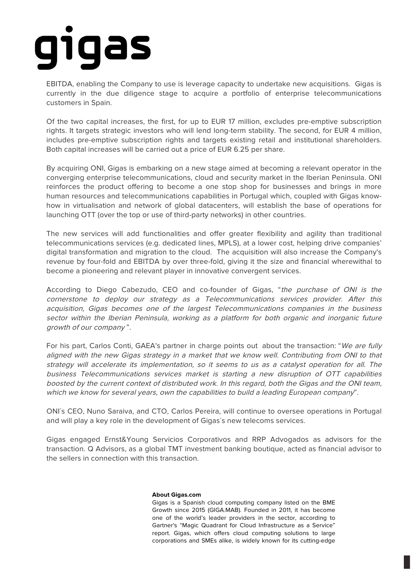## gigas

EBITDA, enabling the Company to use is leverage capacity to undertake new acquisitions. Gigas is currently in the due diligence stage to acquire a portfolio of enterprise telecommunications customers in Spain.

Of the two capital increases, the first, for up to EUR 17 million, excludes pre-emptive subscription rights. It targets strategic investors who will lend long-term stability. The second, for EUR 4 million, includes pre-emptive subscription rights and targets existing retail and institutional shareholders. Both capital increases will be carried out a price of EUR 6.25 per share.

By acquiring ONI, Gigas is embarking on a new stage aimed at becoming a relevant operator in the converging enterprise telecommunications, cloud and security market in the Iberian Peninsula. ONI reinforces the product offering to become a one stop shop for businesses and brings in more human resources and telecommunications capabilities in Portugal which, coupled with Gigas knowhow in virtualisation and network of global datacenters, will establish the base of operations for launching OTT (over the top or use of third-party networks) in other countries.

The new services will add functionalities and offer greater flexibility and agility than traditional telecommunications services (e.g. dedicated lines, MPLS), at a lower cost, helping drive companies' digital transformation and migration to the cloud. The acquisition will also increase the Company's revenue by four-fold and EBITDA by over three-fold, giving it the size and financial wherewithal to become a pioneering and relevant player in innovative convergent services.

According to Diego Cabezudo, CEO and co-founder of Gigas, "the purchase of ONI is the cornerstone to deploy our strategy as a Telecommunications services provider. After this acquisition, Gigas becomes one of the largest Telecommunications companies in the business sector within the Iberian Peninsula, working as a platform for both organic and inorganic future growth of our company ".

For his part, Carlos Conti, GAEA's partner in charge points out about the transaction: "We are fully aligned with the new Gigas strategy in a market that we know well. Contributing from ONI to that strategy will accelerate its implementation, so it seems to us as a catalyst operation for all. The business Telecommunications services market is starting a new disruption of OTT capabilities boosted by the current context of distributed work. In this regard, both the Gigas and the ONI team, which we know for several years, own the capabilities to build a leading European company".

ONI´s CEO, Nuno Saraiva, and CTO, Carlos Pereira, will continue to oversee operations in Portugal and will play a key role in the development of Gigas´s new telecoms services.

Gigas engaged Ernst&Young Servicios Corporativos and RRP Advogados as advisors for the transaction. Q Advisors, as a global TMT investment banking boutique, acted as financial advisor to the sellers in connection with this transaction.

## **About Gigas.com**

Gigas is a Spanish cloud computing company listed on the BME Growth since 2015 (GIGA.MAB). Founded in 2011, it has become one of the world's leader providers in the sector, according to Gartner's "Magic Quadrant for Cloud Infrastructure as a Service" report. Gigas, which offers cloud computing solutions to large corporations and SMEs alike, is widely known for its cutting-edge